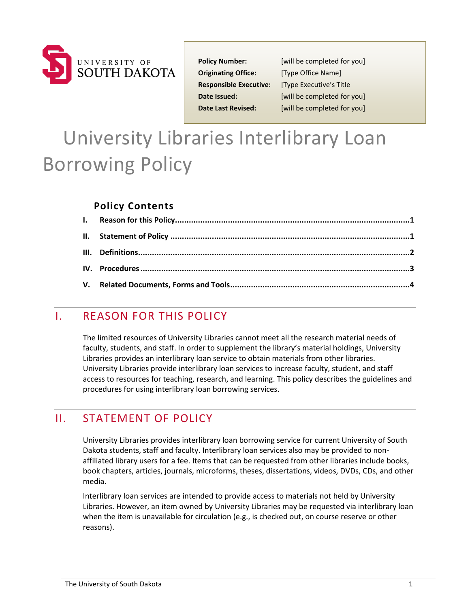

**Originating Office:** [Type Office Name] **Responsible Executive:** [Type Executive's Title

**Policy Number:** [will be completed for you] **Date Issued:** [will be completed for you] **Date Last Revised:** [will be completed for you]

# University Libraries Interlibrary Loan Borrowing Policy

#### **Policy Contents**

### <span id="page-0-0"></span>I. REASON FOR THIS POLICY

The limited resources of University Libraries cannot meet all the research material needs of faculty, students, and staff. In order to supplement the library's material holdings, University Libraries provides an interlibrary loan service to obtain materials from other libraries. University Libraries provide interlibrary loan services to increase faculty, student, and staff access to resources for teaching, research, and learning. This policy describes the guidelines and procedures for using interlibrary loan borrowing services.

### <span id="page-0-1"></span>II. STATEMENT OF POLICY

University Libraries provides interlibrary loan borrowing service for current University of South Dakota students, staff and faculty. Interlibrary loan services also may be provided to nonaffiliated library users for a fee. Items that can be requested from other libraries include books, book chapters, articles, journals, microforms, theses, dissertations, videos, DVDs, CDs, and other media.

Interlibrary loan services are intended to provide access to materials not held by University Libraries. However, an item owned by University Libraries may be requested via interlibrary loan when the item is unavailable for circulation (e.g., is checked out, on course reserve or other reasons).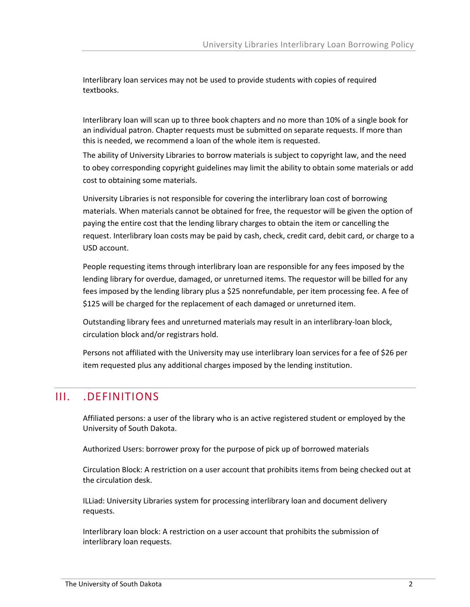Interlibrary loan services may not be used to provide students with copies of required textbooks.

Interlibrary loan will scan up to three book chapters and no more than 10% of a single book for an individual patron. Chapter requests must be submitted on separate requests. If more than this is needed, we recommend a loan of the whole item is requested.

The ability of University Libraries to borrow materials is subject to copyright law, and the need to obey corresponding copyright guidelines may limit the ability to obtain some materials or add cost to obtaining some materials.

University Libraries is not responsible for covering the interlibrary loan cost of borrowing materials. When materials cannot be obtained for free, the requestor will be given the option of paying the entire cost that the lending library charges to obtain the item or cancelling the request. Interlibrary loan costs may be paid by cash, check, credit card, debit card, or charge to a USD account.

People requesting items through interlibrary loan are responsible for any fees imposed by the lending library for overdue, damaged, or unreturned items. The requestor will be billed for any fees imposed by the lending library plus a \$25 nonrefundable, per item processing fee. A fee of \$125 will be charged for the replacement of each damaged or unreturned item.

Outstanding library fees and unreturned materials may result in an interlibrary-loan block, circulation block and/or registrars hold.

<span id="page-1-0"></span>Persons not affiliated with the University may use interlibrary loan services for a fee of \$26 per item requested plus any additional charges imposed by the lending institution.

### III. .DEFINITIONS

Affiliated persons: a user of the library who is an active registered student or employed by the University of South Dakota.

Authorized Users: borrower proxy for the purpose of pick up of borrowed materials

Circulation Block: A restriction on a user account that prohibits items from being checked out at the circulation desk.

ILLiad: University Libraries system for processing interlibrary loan and document delivery requests.

Interlibrary loan block: A restriction on a user account that prohibits the submission of interlibrary loan requests.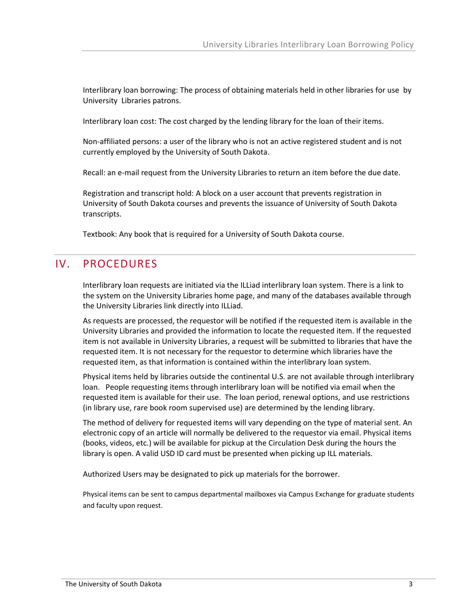Interlibrary loan borrowing: The process of obtaining materials held in other libraries for use by University Libraries patrons.

Interlibrary loan cost: The cost charged by the lending library for the loan of their items.

Non-affiliated persons: a user of the library who is not an active registered student and is not currently employed by the University of South Dakota.

Recall: an e-mail request from the University Libraries to return an item before the due date.

Registration and transcript hold: A block on a user account that prevents registration in University of South Dakota courses and prevents the issuance of University of South Dakota transcripts.

<span id="page-2-0"></span>Textbook: Any book that is required for a University of South Dakota course.

#### IV. PROCEDURES

Interlibrary loan requests are initiated via the ILLiad interlibrary loan system. There is a link to the system on the University Libraries home page, and many of the databases available through the University Libraries link directly into ILLiad.

As requests are processed, the requestor will be notified if the requested item is available in the University Libraries and provided the information to locate the requested item. If the requested item is not available in University Libraries, a request will be submitted to libraries that have the requested item. It is not necessary for the requestor to determine which libraries have the requested item, as that information is contained within the interlibrary loan system.

Physical items held by libraries outside the continental U.S. are not available through interlibrary loan. People requesting items through interlibrary loan will be notified via email when the requested item is available for their use. The loan period, renewal options, and use restrictions (in library use, rare book room supervised use) are determined by the lending library.

The method of delivery for requested items will vary depending on the type of material sent. An electronic copy of an article will normally be delivered to the requestor via email. Physical items (books, videos, etc.) will be available for pickup at the Circulation Desk during the hours the library is open. A valid USD ID card must be presented when picking up ILL materials.

Authorized Users may be designated to pick up materials for the borrower.

Physical items can be sent to campus departmental mailboxes via Campus Exchange for graduate students and faculty upon request.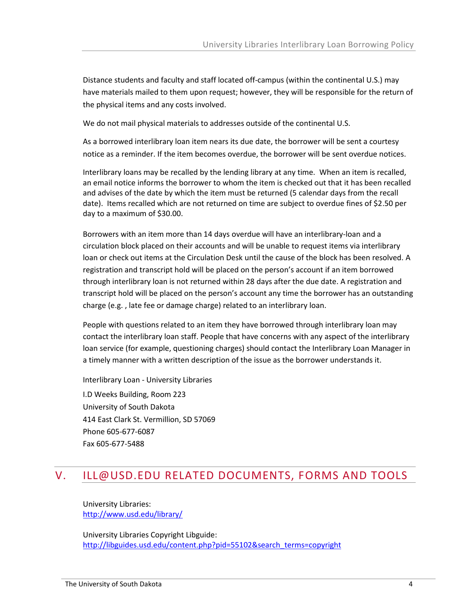Distance students and faculty and staff located off‐campus (within the continental U.S.) may have materials mailed to them upon request; however, they will be responsible for the return of the physical items and any costs involved.

We do not mail physical materials to addresses outside of the continental U.S.

As a borrowed interlibrary loan item nears its due date, the borrower will be sent a courtesy notice as a reminder. If the item becomes overdue, the borrower will be sent overdue notices.

Interlibrary loans may be recalled by the lending library at any time. When an item is recalled, an email notice informs the borrower to whom the item is checked out that it has been recalled and advises of the date by which the item must be returned (5 calendar days from the recall date). Items recalled which are not returned on time are subject to overdue fines of \$2.50 per day to a maximum of \$30.00.

Borrowers with an item more than 14 days overdue will have an interlibrary-loan and a circulation block placed on their accounts and will be unable to request items via interlibrary loan or check out items at the Circulation Desk until the cause of the block has been resolved. A registration and transcript hold will be placed on the person's account if an item borrowed through interlibrary loan is not returned within 28 days after the due date. A registration and transcript hold will be placed on the person's account any time the borrower has an outstanding charge (e.g. , late fee or damage charge) related to an interlibrary loan.

People with questions related to an item they have borrowed through interlibrary loan may contact the interlibrary loan staff. People that have concerns with any aspect of the interlibrary loan service (for example, questioning charges) should contact the Interlibrary Loan Manager in a timely manner with a written description of the issue as the borrower understands it.

Interlibrary Loan - University Libraries

<span id="page-3-0"></span>I.D Weeks Building, Room 223 University of South Dakota 414 East Clark St. Vermillion, SD 57069 Phone 605-677-6087 Fax 605-677-5488

## V. [ILL@USD.EDU](mailto:ill@usd.edu) RELATED DOCUMENTS, FORMS AND TOOLS

University Libraries: <http://www.usd.edu/library/>

University Libraries Copyright Libguide: [http://libguides.usd.edu/content.php?pid=55102&search\\_terms=copyright](http://libguides.usd.edu/content.php?pid=55102&search_terms=copyright)